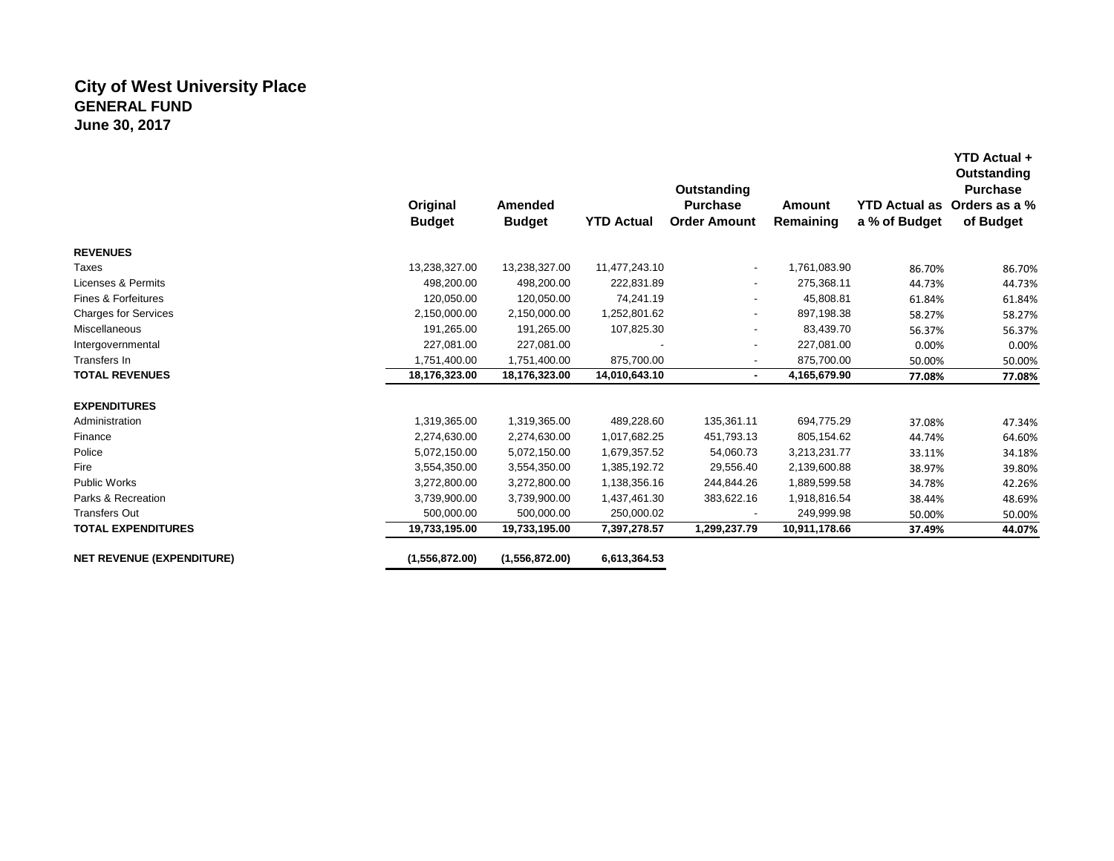# **City of West University Place GENERAL FUND June 30, 2017**

|                                  | Original<br><b>Budget</b> | Amended<br><b>Budget</b> | <b>YTD Actual</b> | Outstanding<br><b>Purchase</b><br><b>Order Amount</b> | Amount<br>Remaining | YTD Actual as Orders as a %<br>a % of Budget | Outstanding<br><b>Purchase</b><br>of Budget |
|----------------------------------|---------------------------|--------------------------|-------------------|-------------------------------------------------------|---------------------|----------------------------------------------|---------------------------------------------|
| <b>REVENUES</b>                  |                           |                          |                   |                                                       |                     |                                              |                                             |
| Taxes                            | 13,238,327.00             | 13,238,327.00            | 11,477,243.10     | $\blacksquare$                                        | 1,761,083.90        | 86.70%                                       | 86.70%                                      |
| Licenses & Permits               | 498,200.00                | 498,200.00               | 222,831.89        | ۰                                                     | 275,368.11          | 44.73%                                       | 44.73%                                      |
| Fines & Forfeitures              | 120,050.00                | 120,050.00               | 74,241.19         | ٠                                                     | 45,808.81           | 61.84%                                       | 61.84%                                      |
| <b>Charges for Services</b>      | 2,150,000.00              | 2,150,000.00             | 1,252,801.62      |                                                       | 897,198.38          | 58.27%                                       | 58.27%                                      |
| Miscellaneous                    | 191,265.00                | 191,265.00               | 107,825.30        | ۰                                                     | 83,439.70           | 56.37%                                       | 56.37%                                      |
| Intergovernmental                | 227,081.00                | 227,081.00               |                   |                                                       | 227,081.00          | 0.00%                                        | 0.00%                                       |
| Transfers In                     | 1,751,400.00              | 1,751,400.00             | 875,700.00        | ۰                                                     | 875,700.00          | 50.00%                                       | 50.00%                                      |
| <b>TOTAL REVENUES</b>            | 18,176,323.00             | 18,176,323.00            | 14,010,643.10     | ٠                                                     | 4,165,679.90        | 77.08%                                       | 77.08%                                      |
| <b>EXPENDITURES</b>              |                           |                          |                   |                                                       |                     |                                              |                                             |
| Administration                   | 1,319,365.00              | 1,319,365.00             | 489,228.60        | 135,361.11                                            | 694,775.29          | 37.08%                                       | 47.34%                                      |
| Finance                          | 2,274,630.00              | 2,274,630.00             | 1,017,682.25      | 451,793.13                                            | 805,154.62          | 44.74%                                       | 64.60%                                      |
| Police                           | 5,072,150.00              | 5,072,150.00             | 1,679,357.52      | 54,060.73                                             | 3,213,231.77        | 33.11%                                       | 34.18%                                      |
| Fire                             | 3,554,350.00              | 3,554,350.00             | 1,385,192.72      | 29,556.40                                             | 2,139,600.88        | 38.97%                                       | 39.80%                                      |
| Public Works                     | 3,272,800.00              | 3,272,800.00             | 1,138,356.16      | 244,844.26                                            | 1,889,599.58        | 34.78%                                       | 42.26%                                      |
| Parks & Recreation               | 3,739,900.00              | 3,739,900.00             | 1,437,461.30      | 383,622.16                                            | 1,918,816.54        | 38.44%                                       | 48.69%                                      |
| <b>Transfers Out</b>             | 500,000.00                | 500,000.00               | 250,000.02        |                                                       | 249,999.98          | 50.00%                                       | 50.00%                                      |
| <b>TOTAL EXPENDITURES</b>        | 19,733,195.00             | 19,733,195.00            | 7,397,278.57      | 1,299,237.79                                          | 10,911,178.66       | 37.49%                                       | 44.07%                                      |
| <b>NET REVENUE (EXPENDITURE)</b> | (1,556,872.00)            | (1,556,872.00)           | 6,613,364.53      |                                                       |                     |                                              |                                             |

**YTD Actual +**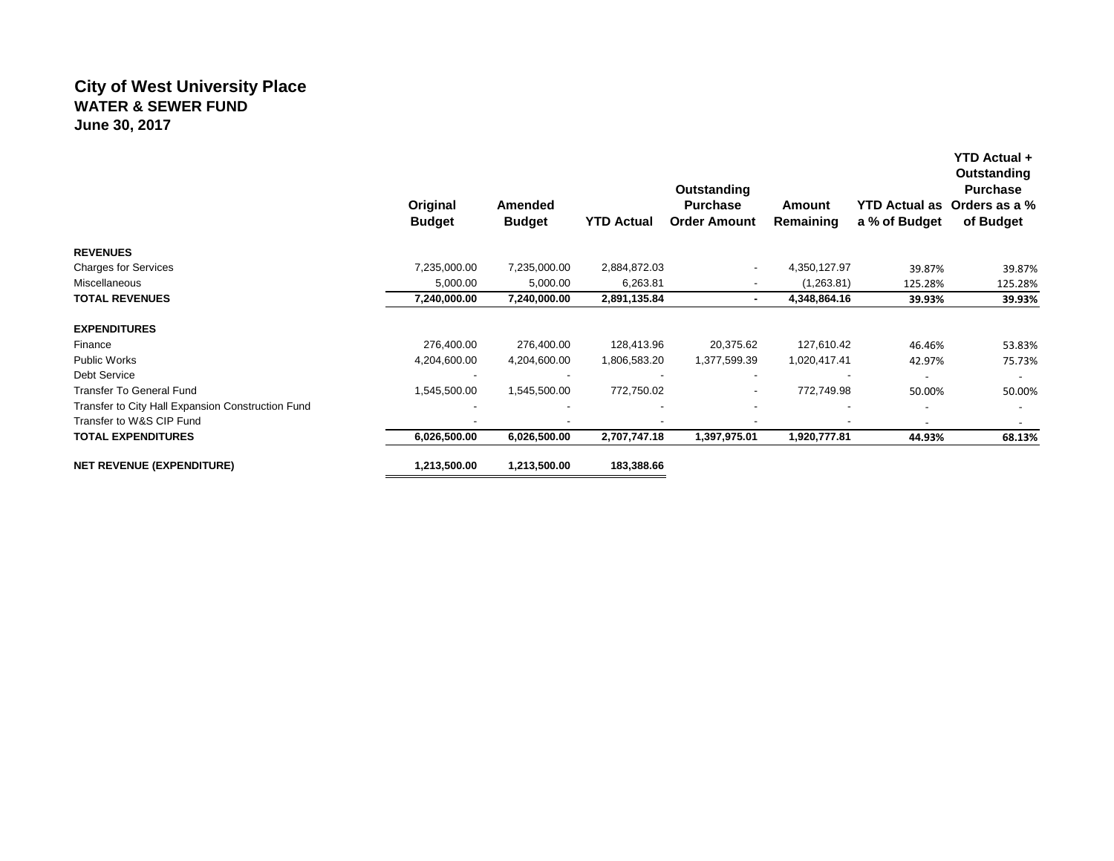## **City of West University Place WATER & SEWER FUND June 30, 2017**

|                                                   | Original<br><b>Budget</b> | Amended<br><b>Budget</b> | <b>YTD Actual</b> | Outstanding<br><b>Purchase</b><br><b>Order Amount</b> | Amount<br>Remaining | <b>YTD Actual as</b><br>a % of Budget | YTD Actual +<br>Outstanding<br><b>Purchase</b><br>Orders as a %<br>of Budget |
|---------------------------------------------------|---------------------------|--------------------------|-------------------|-------------------------------------------------------|---------------------|---------------------------------------|------------------------------------------------------------------------------|
| <b>REVENUES</b>                                   |                           |                          |                   |                                                       |                     |                                       |                                                                              |
| <b>Charges for Services</b>                       | 7,235,000.00              | 7,235,000.00             | 2,884,872.03      | ۰                                                     | 4,350,127.97        | 39.87%                                | 39.87%                                                                       |
| Miscellaneous                                     | 5,000.00                  | 5,000.00                 | 6,263.81          |                                                       | (1,263.81)          | 125.28%                               | 125.28%                                                                      |
| <b>TOTAL REVENUES</b>                             | 7,240,000.00              | 7,240,000.00             | 2,891,135.84      |                                                       | 4,348,864.16        | 39.93%                                | 39.93%                                                                       |
| <b>EXPENDITURES</b>                               |                           |                          |                   |                                                       |                     |                                       |                                                                              |
| Finance                                           | 276,400.00                | 276,400.00               | 128,413.96        | 20,375.62                                             | 127,610.42          | 46.46%                                | 53.83%                                                                       |
| <b>Public Works</b>                               | 4,204,600.00              | 4,204,600.00             | 1,806,583.20      | 1,377,599.39                                          | 1,020,417.41        | 42.97%                                | 75.73%                                                                       |
| Debt Service                                      |                           |                          |                   |                                                       |                     | $\overline{\phantom{a}}$              | $\overline{\phantom{a}}$                                                     |
| <b>Transfer To General Fund</b>                   | 1,545,500.00              | 1,545,500.00             | 772,750.02        | $\overline{\phantom{a}}$                              | 772,749.98          | 50.00%                                | 50.00%                                                                       |
| Transfer to City Hall Expansion Construction Fund |                           | $\overline{\phantom{a}}$ |                   |                                                       |                     |                                       |                                                                              |
| Transfer to W&S CIP Fund                          |                           | $\overline{\phantom{a}}$ |                   |                                                       | ۰                   |                                       |                                                                              |
| <b>TOTAL EXPENDITURES</b>                         | 6,026,500.00              | 6,026,500.00             | 2,707,747.18      | 1,397,975.01                                          | 1,920,777.81        | 44.93%                                | 68.13%                                                                       |
| <b>NET REVENUE (EXPENDITURE)</b>                  | 1,213,500.00              | 1,213,500.00             | 183,388.66        |                                                       |                     |                                       |                                                                              |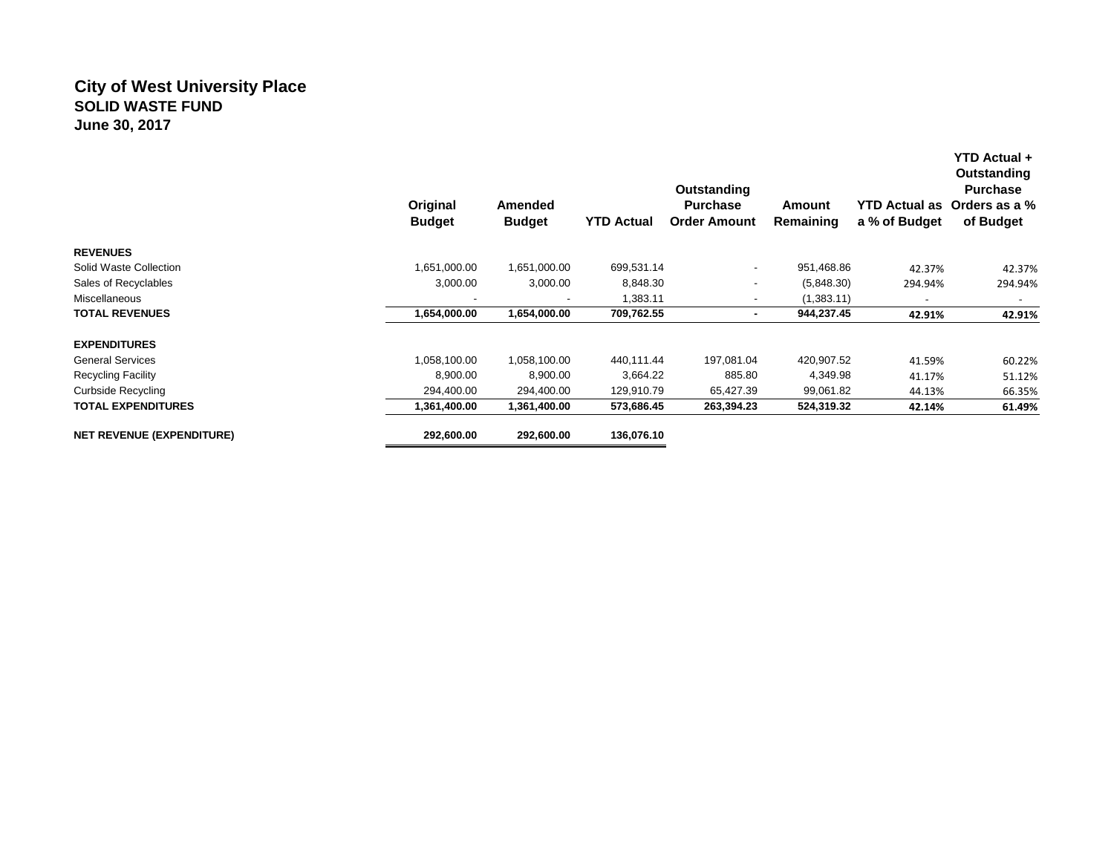## **City of West University Place SOLID WASTE FUND June 30, 2017**

|                                  | Original<br><b>Budget</b> | Amended<br><b>Budget</b> | <b>YTD Actual</b> | Outstanding<br><b>Purchase</b><br><b>Order Amount</b> | Amount<br>Remaining | <b>YTD Actual as</b><br>a % of Budget | <b>YTD Actual +</b><br>Outstanding<br><b>Purchase</b><br>Orders as a %<br>of Budget |
|----------------------------------|---------------------------|--------------------------|-------------------|-------------------------------------------------------|---------------------|---------------------------------------|-------------------------------------------------------------------------------------|
| <b>REVENUES</b>                  |                           |                          |                   |                                                       |                     |                                       |                                                                                     |
| Solid Waste Collection           | 1,651,000.00              | 1,651,000.00             | 699,531.14        | $\overline{\phantom{a}}$                              | 951,468.86          | 42.37%                                | 42.37%                                                                              |
| Sales of Recyclables             | 3,000.00                  | 3,000.00                 | 8,848.30          |                                                       | (5,848.30)          | 294.94%                               | 294.94%                                                                             |
| Miscellaneous                    |                           |                          | 1,383.11          |                                                       | (1,383.11)          | $\overline{\phantom{a}}$              |                                                                                     |
| <b>TOTAL REVENUES</b>            | 1,654,000.00              | 1,654,000.00             | 709,762.55        | ۰                                                     | 944,237.45          | 42.91%                                | 42.91%                                                                              |
| <b>EXPENDITURES</b>              |                           |                          |                   |                                                       |                     |                                       |                                                                                     |
| <b>General Services</b>          | 1,058,100.00              | 1,058,100.00             | 440,111.44        | 197,081.04                                            | 420,907.52          | 41.59%                                | 60.22%                                                                              |
| <b>Recycling Facility</b>        | 8,900.00                  | 8,900.00                 | 3,664.22          | 885.80                                                | 4,349.98            | 41.17%                                | 51.12%                                                                              |
| <b>Curbside Recycling</b>        | 294,400.00                | 294,400.00               | 129,910.79        | 65,427.39                                             | 99,061.82           | 44.13%                                | 66.35%                                                                              |
| <b>TOTAL EXPENDITURES</b>        | 1,361,400.00              | 1,361,400.00             | 573,686.45        | 263,394.23                                            | 524,319.32          | 42.14%                                | 61.49%                                                                              |
| <b>NET REVENUE (EXPENDITURE)</b> | 292,600.00                | 292,600.00               | 136,076.10        |                                                       |                     |                                       |                                                                                     |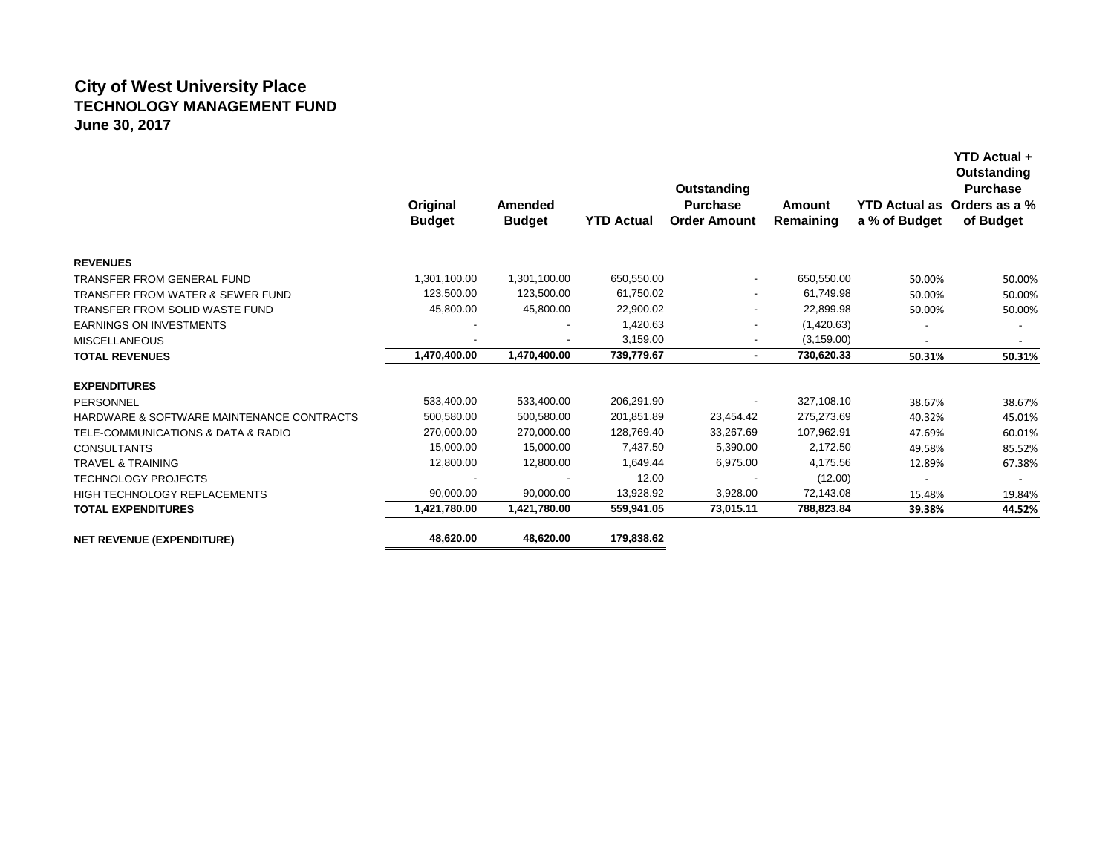## **City of West University Place TECHNOLOGY MANAGEMENT FUND June 30, 2017**

|                                             | Original<br><b>Budget</b> | Amended<br><b>Budget</b> | <b>YTD Actual</b> | Outstanding<br><b>Purchase</b><br><b>Order Amount</b> | Amount<br>Remaining | YTD Actual as Orders as a %<br>a % of Budget | Outstanding<br><b>Purchase</b><br>of Budget |
|---------------------------------------------|---------------------------|--------------------------|-------------------|-------------------------------------------------------|---------------------|----------------------------------------------|---------------------------------------------|
| <b>REVENUES</b>                             |                           |                          |                   |                                                       |                     |                                              |                                             |
| <b>TRANSFER FROM GENERAL FUND</b>           | 1,301,100.00              | 1,301,100.00             | 650,550.00        | $\overline{\phantom{a}}$                              | 650,550.00          | 50.00%                                       | 50.00%                                      |
| <b>TRANSFER FROM WATER &amp; SEWER FUND</b> | 123,500.00                | 123,500.00               | 61,750.02         | $\overline{\phantom{a}}$                              | 61,749.98           | 50.00%                                       | 50.00%                                      |
| TRANSFER FROM SOLID WASTE FUND              | 45,800.00                 | 45,800.00                | 22,900.02         | $\overline{\phantom{a}}$                              | 22,899.98           | 50.00%                                       | 50.00%                                      |
| <b>EARNINGS ON INVESTMENTS</b>              |                           |                          | 1,420.63          | $\overline{\phantom{a}}$                              | (1,420.63)          |                                              |                                             |
| <b>MISCELLANEOUS</b>                        |                           | ٠                        | 3.159.00          |                                                       | (3, 159.00)         |                                              |                                             |
| <b>TOTAL REVENUES</b>                       | 1,470,400.00              | 1,470,400.00             | 739,779.67        | $\sim$                                                | 730,620.33          | 50.31%                                       | 50.31%                                      |
| <b>EXPENDITURES</b>                         |                           |                          |                   |                                                       |                     |                                              |                                             |
| <b>PERSONNEL</b>                            | 533,400.00                | 533,400.00               | 206,291.90        |                                                       | 327,108.10          | 38.67%                                       | 38.67%                                      |
| HARDWARE & SOFTWARE MAINTENANCE CONTRACTS   | 500,580.00                | 500,580.00               | 201,851.89        | 23,454.42                                             | 275,273.69          | 40.32%                                       | 45.01%                                      |
| TELE-COMMUNICATIONS & DATA & RADIO          | 270,000.00                | 270,000.00               | 128,769.40        | 33,267.69                                             | 107,962.91          | 47.69%                                       | 60.01%                                      |
| <b>CONSULTANTS</b>                          | 15,000.00                 | 15,000.00                | 7,437.50          | 5,390.00                                              | 2,172.50            | 49.58%                                       | 85.52%                                      |
| <b>TRAVEL &amp; TRAINING</b>                | 12,800.00                 | 12,800.00                | 1,649.44          | 6,975.00                                              | 4,175.56            | 12.89%                                       | 67.38%                                      |
| <b>TECHNOLOGY PROJECTS</b>                  |                           |                          | 12.00             |                                                       | (12.00)             |                                              |                                             |
| HIGH TECHNOLOGY REPLACEMENTS                | 90,000.00                 | 90,000.00                | 13,928.92         | 3,928.00                                              | 72,143.08           | 15.48%                                       | 19.84%                                      |
| <b>TOTAL EXPENDITURES</b>                   | 1,421,780.00              | 1,421,780.00             | 559,941.05        | 73,015.11                                             | 788,823.84          | 39.38%                                       | 44.52%                                      |
| <b>NET REVENUE (EXPENDITURE)</b>            | 48,620.00                 | 48,620.00                | 179,838.62        |                                                       |                     |                                              |                                             |

**YTD Actual +**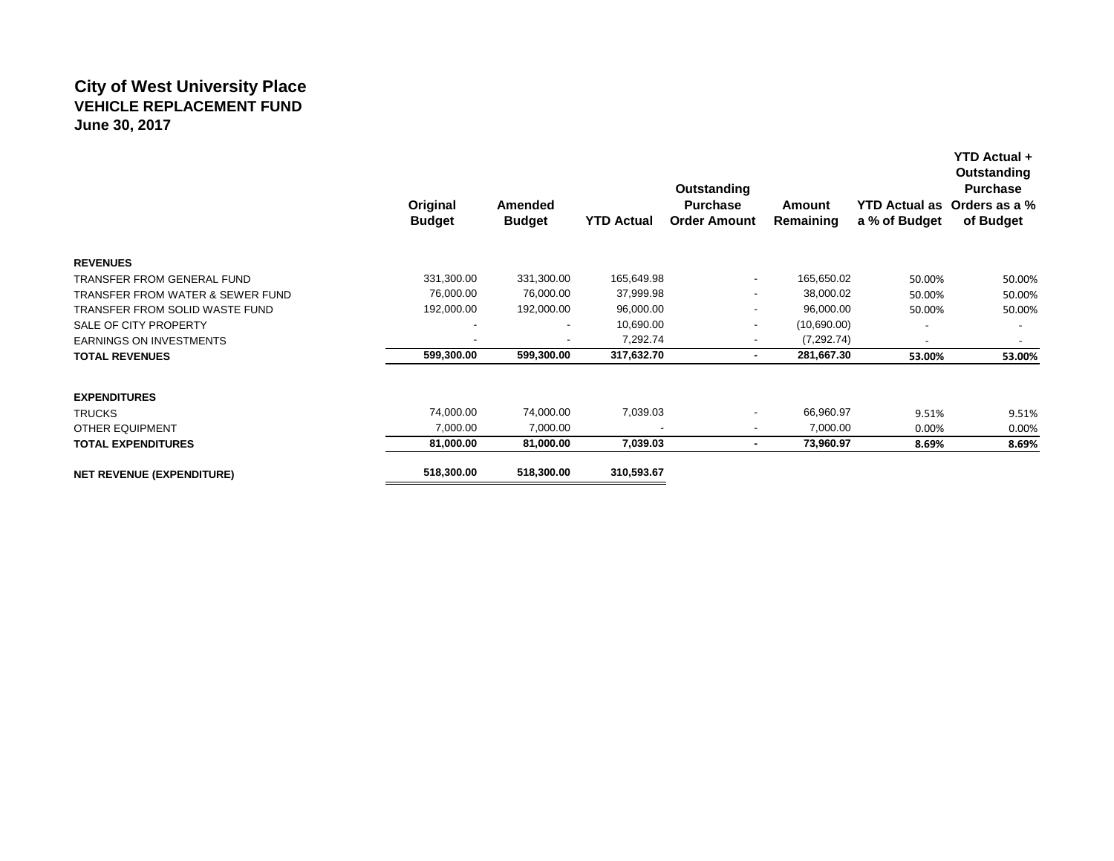## **City of West University Place VEHICLE REPLACEMENT FUND June 30, 2017**

|                                             | Original<br><b>Budget</b> | Amended<br><b>Budget</b> | <b>YTD Actual</b> | Outstanding<br><b>Purchase</b><br><b>Order Amount</b> | Amount<br>Remaining | a % of Budget | Outstanding<br><b>Purchase</b><br>YTD Actual as Orders as a %<br>of Budget |
|---------------------------------------------|---------------------------|--------------------------|-------------------|-------------------------------------------------------|---------------------|---------------|----------------------------------------------------------------------------|
| <b>REVENUES</b>                             |                           |                          |                   |                                                       |                     |               |                                                                            |
| TRANSFER FROM GENERAL FUND                  | 331,300.00                | 331,300.00               | 165,649.98        | $\sim$                                                | 165,650.02          | 50.00%        | 50.00%                                                                     |
| <b>TRANSFER FROM WATER &amp; SEWER FUND</b> | 76,000.00                 | 76,000.00                | 37,999.98         |                                                       | 38,000.02           | 50.00%        | 50.00%                                                                     |
| TRANSFER FROM SOLID WASTE FUND              | 192,000.00                | 192,000.00               | 96,000.00         | $\overline{\phantom{a}}$                              | 96,000.00           | 50.00%        | 50.00%                                                                     |
| SALE OF CITY PROPERTY                       |                           | ٠                        | 10,690.00         |                                                       | (10,690.00)         |               |                                                                            |
| <b>EARNINGS ON INVESTMENTS</b>              |                           | $\blacksquare$           | 7,292.74          |                                                       | (7, 292.74)         |               |                                                                            |
| <b>TOTAL REVENUES</b>                       | 599,300.00                | 599,300.00               | 317,632.70        | $\blacksquare$                                        | 281,667.30          | 53.00%        | 53.00%                                                                     |
| <b>EXPENDITURES</b>                         |                           |                          |                   |                                                       |                     |               |                                                                            |
| <b>TRUCKS</b>                               | 74,000.00                 | 74,000.00                | 7,039.03          | $\overline{\phantom{a}}$                              | 66,960.97           | 9.51%         | 9.51%                                                                      |
| <b>OTHER EQUIPMENT</b>                      | 7,000.00                  | 7,000.00                 | $\blacksquare$    |                                                       | 7,000.00            | 0.00%         | 0.00%                                                                      |
| <b>TOTAL EXPENDITURES</b>                   | 81,000.00                 | 81,000.00                | 7,039.03          |                                                       | 73,960.97           | 8.69%         | 8.69%                                                                      |
| <b>NET REVENUE (EXPENDITURE)</b>            | 518,300.00                | 518,300.00               | 310,593.67        |                                                       |                     |               |                                                                            |

**YTD Actual +**